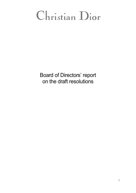# Christian Dior

Board of Directors' report on the draft resolutions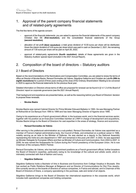# 1. Approval of the parent company financial statements and of related-party agreements

The first few items of the agenda concern:

- approval of the financial statements: you are asked to approve the financial statements of the parent company Christian Dior SE **(first resolution)**, and the consolidated financial statements of the Group **(second resolution)**;
- allocation of net profit **(third resolution)**: a total gross dividend of 10.00 euros per share will be distributed. Given the interim dividend of 3.00 euros per share which was paid in cash on December 2, 2021, the remaining amount of 7.00 euros per share will be paid on April 28, 2022;
- approval of related-party agreements (fourth resolution): details of these agreements are given in the Statutory Auditors' special report (included in the 2021 Annual Report).

# 2. Composition of the board of directors – Statutory auditors

## 2.1 Board of Directors

Based on the recommendations of the Nominations and Compensation Committee, you are asked to renew the terms of office as Director of Nicolas Bazire, Renaud Donnedieu de Vabres, Ségolène Gallienne and Christian de Labriffe **(fifth to eighth resolutions)** for a period of three years ending at the close of the Ordinary Shareholders' Meeting to be convened in 2025 to approve the financial statements for the previous fiscal year.

Detailed information on Directors whose terms of office are proposed for renewal can be found in §1.4.1.2 of *the Board of Directors' report on corporate governance* (see the 2021 Annual Report).

Their background and experience are presented below, as well as the reasoning behind your Board of Directors' decision to propose these renewals.

## - **Nicolas Bazire**

Nicolas Bazire was named Cabinet Director for Prime Minister Edouard Balladur in 1993. He was Managing Partner at Rothschild et Cie Banque from 1995 to 1999 and has been Managing Director of Agache since 1999.

Owing to his experience as a French government official, in the business world, and in the financial services sector, together with his position as an Executive Committee member at LVMH in charge of development and acquisitions, Nicolas Bazire brings to the Board of Directors his vast expertise in the areas of strategy, finance and economics.

## - **Renaud Donnedieu de Vabres**

After serving in the prefectural administration as a sub-prefect, Renaud Donnedieu de Vabres was appointed as a member of France's highest administrative body, the Council of State, and embarked on a political career in 1986, notably serving as an aide to the Minister of Defense. He was elected as a deputy to the National Assembly representing the Indre-et-Loire department in 1997 and remained in this post until 2007. In 2002, he was appointed as Minister Delegate for European Affairs and then as Minister of Culture and Communication, from 2004 to 2007. In 2008, he was named the Ambassador for Culture during the French presidency of the European Union. He is now Chairman of the company RDDV Partner.

Renaud Donnedieu de Vabres, who has held prominent positions as a French government official, further broadens the Board of Director's expertise, particularly owing to his knowledge of the cultural and artistic world, which is intimately connected with that of fashion and luxury.

## - **Ségolène Gallienne**

Ségolène Gallienne holds a Bachelor of Arts in Business and Economics from Collège Vesalius in Brussels. She has worked as Public Relations Manager at Belgacom and as Director of Communications for Dior Fine Jewelry. She currently serves on the boards of directors of various companies, in France and abroad, and is Chairman of the Board of Directors of Diane, a company specializing in the purchase, sale and rental of art objects.

Ségolène Gallienne brings to the Board of Directors her international experience in the corporate world, which includes both operational companies and holding companies.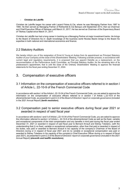#### - **Christian de Labriffe**

Christian de Labriffe began his career with Lazard Frères & Cie, where he was Managing Partner from 1987 to 1994. He then served as Managing Partner of Rothschild & Cie Banque until September 2013, then as Chairman and Chief Executive Officer of Salvepar until March 31, 2017. He has served as Chairman of the Supervisory Board of Tikehau Capital since March 31, 2017.

Christian de Labriffe has had a long career in banking as a Managing Partner at major investment banks. He brings to the Board of Directors his in- depth knowledge of the business world Nicolas Bazire brings to the Board his expertise in both national and international economics and finance.

## 2.2 Statutory Auditors

We hereby inform you of the resignation of Ernst & Young et Autres from its appointment as Principal Statutory Auditor of your Company at the close of this Shareholders' Meeting. Following a tender process, in accordance with current legal and regulatory requirements, it is proposed that you appoint Deloitte as a replacement, on the recommendation of the Performance Audit Committee, as Principal Statutory Auditor, for the remaining term of its predecessor's appointment, that is until the close of the Ordinary Shareholders' Meeting to approve the financial statements for the fiscal year ending December 31, 2024.

# 3. Compensation of executive officers

## 3.1 Information on the compensation of executive officers referred to in section I of Article L. 22-10-9 of the French Commercial Code

In accordance with section I of the Article L.22-10-34 of the French Commercial Code, you are asked to approve the information on the compensation of executive officers referred to in section I of Article L.22-10-9 of the aforementioned Code, as presented in point 2.2 of the *Board of Directors' report on corporate governance* (included in the 2021 Annual Report) **(tenth resolution).** 

## 3.2 Compensation paid to senior executive officers during fiscal year 2021 or awarded in respect of said fiscal year

In accordance with sections I and II of Article L.22-10-34 of the French Commercial Code, you are asked to approve the information referred to section I of Article L. 22-10-9 of the aforementioned Code as well as the fixed, variable and exceptional components of the total compensation and any benefits in kind paid during the fiscal year ended December 31, 2021 or awarded in respect of said fiscal year to Bernard Arnault and Sidney Toledano, (with the understanding that (i) no fixed, variable or exceptional compensation, other than that paid or awarded in respect of his duties, was paid or awarded to Bernard Arnault in his capacity of the company's Chairman of the Board of Directors during or in respect of fiscal year 2021 and (ii) no variable or exceptional compensation was paid or awarded to Sidney Toledano in his capacity of the company's Chief Executive Officer during or in respect of fiscal year 2021), as presented in point 2.2 of the *Board of Directors' report on corporate governance* (included in the 2021 Annual Report) **(eleventh and twelfth resolutions)**.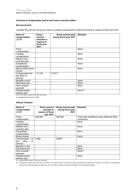## *Summary of compensation paid to each senior executive officer*

## **Bernard Arnault**

Christian Dior SE did not pay any fixed or variable compensation to Bernard Arnault in respect of fiscal year 2021.

| Items of<br>compensation<br>(EUR) | <b>Gross</b><br>amount<br>awarded in<br>respect of<br>fiscal year<br>2021 | Gross amount paid<br>during fiscal year 2021 | <b>Remarks</b>      |
|-----------------------------------|---------------------------------------------------------------------------|----------------------------------------------|---------------------|
| Fixed                             |                                                                           | $\overline{\phantom{a}}$                     | None                |
| compensation                      |                                                                           |                                              |                     |
| Variable                          | $\blacksquare$                                                            | $\overline{\phantom{0}}$                     | None                |
| compensation                      |                                                                           |                                              |                     |
| Medium-term                       | $\overline{\phantom{a}}$                                                  | $\overline{\phantom{a}}$                     | None                |
| incentive plan                    |                                                                           |                                              |                     |
| Exceptional                       | $\overline{\phantom{a}}$                                                  | ٠                                            | None                |
| compensation                      |                                                                           |                                              |                     |
| Bonus performance                 | $\blacksquare$                                                            | ٠                                            | None                |
| shares                            |                                                                           |                                              |                     |
| Compensation for                  | 13,130                                                                    | $9,191^{(a)}$                                |                     |
| the office of                     |                                                                           |                                              |                     |
| <b>Director</b>                   |                                                                           |                                              |                     |
| Benefits in kind                  | $\blacksquare$                                                            | $\overline{\phantom{a}}$                     | None                |
| Severance pay                     | $\overline{\phantom{a}}$                                                  | $\overline{\phantom{a}}$                     | None                |
| Non-compete                       | $\overline{\phantom{a}}$                                                  |                                              | None                |
| payment                           |                                                                           |                                              |                     |
| Supplementary                     | $\blacksquare$                                                            | $\overline{\phantom{a}}$                     | None <sup>(b)</sup> |
| pension plan<br>4.14              | $\mathbf{r} = \mathbf{r} \mathbf{r}$                                      |                                              |                     |

(a) Amount paid in respect of the prior fiscal year.

(b) Supplementary pension at LVMH.

#### **Sidney Toledano**

| Items of<br>compensation<br>(EUR) | <b>Gross amount</b><br>awarded in<br>respect of fiscal<br>vear 2021 | Gross amount paid<br>during fiscal year<br>2021 | <b>Remarks</b>                               |
|-----------------------------------|---------------------------------------------------------------------|-------------------------------------------------|----------------------------------------------|
| Fixed                             | 200,000                                                             | 200,000                                         | It has been decided to keep stable the fixed |
| compensation                      |                                                                     |                                                 | component.                                   |
| Variable                          | $\overline{\phantom{a}}$                                            | $\overline{\phantom{a}}$                        | None                                         |
| compensation                      |                                                                     |                                                 |                                              |
| Medium-term                       |                                                                     | $\overline{\phantom{0}}$                        | None                                         |
| incentive plan                    |                                                                     |                                                 |                                              |
| Exceptional                       |                                                                     | $\overline{\phantom{0}}$                        | None                                         |
| compensation                      |                                                                     |                                                 |                                              |
| Bonus shares                      | $\overline{\phantom{a}}$                                            | $\overline{\phantom{a}}$                        | None                                         |
| of<br>Compensation                | 9,848                                                               | $6,893^{(a)}$                                   |                                              |
| office<br>of<br>the               |                                                                     |                                                 |                                              |
| <b>Director</b>                   |                                                                     |                                                 |                                              |
| Benefits in kind                  | $\overline{\phantom{0}}$                                            |                                                 | None                                         |
| Severance pay                     |                                                                     |                                                 | None                                         |
| Non-compete                       | $\overline{\phantom{a}}$                                            | ۰                                               | $None^{(b)}$                                 |
| payment                           |                                                                     |                                                 |                                              |
| Supplementary                     | $\blacksquare$                                                      | $\overline{\phantom{0}}$                        | None                                         |
| pension plan                      | ورداده وكالمتابع والمكاري                                           |                                                 |                                              |

(a) Amount paid in respect of the prior fiscal year.

(b) Employment contract with LVMH SE as Chairman of its Fashion Group: non-compete clause providing for the payment, for a period of 12 months, of compensation equal to his monthly average gross salary over the 12 months preceding the effective termination of his employment contract.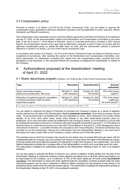## 3.3 Compensation policy

Pursuant to section II of Article L.22-10-8 of the French Commercial Code, you are asked to approve the compensation policy applicable to Directors (thirteenth resolution) and that applicable to senior executive officers (fourteenth and fifteenth resolutions).

The compensation policy applicable to senior executive officers approved by the Board of Directors at its meeting of January 27, 2022, on the recommendation made by the Nominations and Compensation Committee on the same date, is set out in point 2.1 of the *Board of Directors' report on corporate governance* (included in 2021 Annual Report). No compensation amount of any type may be determined, awarded, or paid if it does not comply with the approved compensation policy or, where the latter does not exist, with the remuneration policies or practices referred to in section II of Article L.22-10-8 of the French Commercial Code.

In accordance with section III of Article L. 22-10-8 of the French Commercial Code, the Board of Directors may in exceptional circumstances, after soliciting the opinion of the Nominations and Compensation Committee, and, where appropriate, an independent consulting firm, depart from the compensation policy, provided that such derogation is only temporary, in the corporate interest and necessary to safeguard the sustainability or viability of the Company.

# 4. Authorizations proposed at the shareholders' meeting of April 21, 2022

4.1 Share repurchase program (Articles L.22-10-62 et seq. of the French Commercial Code)

| <b>Type</b>                                                                                                             | <b>Resolution</b>                      | <b>Expiry/Duration</b>            | <b>Amount</b><br>authorized                                       |
|-------------------------------------------------------------------------------------------------------------------------|----------------------------------------|-----------------------------------|-------------------------------------------------------------------|
| Share repurchase program<br>Maximum purchase price: 950 euros                                                           | SM April 21, 2022<br>(16th resolution) | October 20, 2023<br>$(18$ months) | 10% of the share<br>capital <sup>(a)</sup>                        |
| Reduction of capital through the cancellation<br>of shares purchased under the share<br>repurchase program              | SM April 21, 2022<br>(17th resolution) | October 20, 2023<br>$(18$ months) | 10% of the share<br>capital per<br>24-month period <sup>(a)</sup> |
| (a) As a quide, this equates to 18,050,752 shares on the basis of the authorized share capital as of December 31, 2021. |                                        |                                   |                                                                   |

You are asked to authorize the Board of Directors to purchase the Company's shares for a period of eighteen months starting from the date of this Shareholders' Meeting **(sixteenth resolution)**. Such share purchases may be made for any purpose that is compatible with laws and regulations in force , and in particular (i) to provide market liquidity, (ii) to cover stock option plans, bonus share awards or any other share-based payment plans for employees, (iii) to cover securities conferring entitlement to the Company's shares, (iv) to be retired or (v) to be held for subsequent exchange or payment in connection with external growth transactions (see point 1.12 of the *Board of Directors'report on corporate governance* out in the 2021 Annual Report in and point 5.1 of the *Management report of the Board of Directors* – La société Christian Dior (included in 2021 Annual Report)). The Board of Directors may not allow to use this authorization, without prior authorization from the Shareholders' Meeting, in the event that a

third party has made a public offer on the Company's shares; until the end of that offer period.

The purchase price at which the Company may acquire its own shares may not exceed 950 euros per share, with the understanding that the Company may not purchase such shares at a price above the higher of the following two values: (i) the last quoted share price after the execution of a transaction in which the Company is not a stakeholder , and (ii) the highest independent purchase bid in progress offer on the trading platform on which such a purchase would be made This authorization invalidates the authorization granted by the Shareholders' Meeting of April 15, 2021 in its sixteenth resolution.

You are also asked to authorize the Board of Directors, for a period of eighteen months starting from the date of this Shareholders' Meeting, to reduce the Company's share capital by cancelling some or all of the shares repurchased or to be repurchased by the Company, up to a maximum of 10% of the share capital per 24-month period **(seventeenth resolution)**. The authorization to reduce the share capital through the cancellation of shares acquired under the share repurchase program may be used in particular to offset the dilution resulting from the issuance of new shares to be awarded as bonus shares and/or the exercise of stock options. This authorization invalidates the authorization granted by the Shareholders' Meeting of April 15, 2021 in its seventeenth resolution.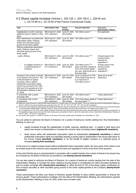## 4.2 Share capital increase (Articles L. 225-129, L. 225-129-2, L. 228-92 and L. 22-10-49 to L. 22-10-54 of the French Commercial Code)

| <b>Type</b>                                                                                                                                                                                                                                                                                                        | <b>Authorization date</b>                   | Expiry/<br><b>Duration</b>     | <b>Amount authorized</b>                                                                                                             | <b>Issue price</b><br>determination method                                          |
|--------------------------------------------------------------------------------------------------------------------------------------------------------------------------------------------------------------------------------------------------------------------------------------------------------------------|---------------------------------------------|--------------------------------|--------------------------------------------------------------------------------------------------------------------------------------|-------------------------------------------------------------------------------------|
| Capitalization of profit, reserves,<br>additional paid-in capital or other<br>items                                                                                                                                                                                                                                | SM of April 21, 2022<br>$(18th$ resolution) | (26 months)                    | June 20, 2024 120 million euros (a)                                                                                                  | Not applicable                                                                      |
| With maintenance of preferential<br>subscription rights: Ordinary<br>shares and securities giving<br>access to the share capital                                                                                                                                                                                   | SM of April 21, 2022<br>$(19th$ resolution) | $(26$ months)                  | June 20, 2024 120 million euros (a) (b)                                                                                              | Freely determined                                                                   |
| Without preferential subscription<br>rights: Ordinary shares and<br>securities giving access to the<br>share capital                                                                                                                                                                                               |                                             |                                |                                                                                                                                      |                                                                                     |
| - public offering                                                                                                                                                                                                                                                                                                  | $(20th$ resolution)                         | $(26$ months)                  | SM of April 21, 2022 June 20, 2024 120 million euros (a) (b)                                                                         | At least equal to the<br>minimum price<br>required by<br>regulations $(c)$          |
| for eligible investors or<br>a restricted group of<br>investors                                                                                                                                                                                                                                                    | SM of April 21, 2022<br>$(21st$ resolution) | June 20, 2024<br>(26 months)   | 120 million euros $(a)$ (b)<br>Issue of shares capped at<br>20% of the share capital<br>per year, determined as of<br>the issue date | At least equal to the<br>minimum price<br>required by<br>regulations <sup>(c)</sup> |
| Increase in the number of shares SM of April 21, 2022<br>to be issued in the event of the<br>oversubscription of capital<br>increases, with or without<br>preferential subscription rights,<br>carried out pursuant to the 19th,<br>20th and 21st resolutions of the<br>Shareholders' Meeting of April<br>21, 2022 | $(22nd$ resolution)                         | June 20, 2024<br>$(26$ months) | Up to a maximum of 15%<br>of the initial issue and up<br>to a maximum of<br>120 million euros (a)                                    | Same price as the<br>initial issue                                                  |
| In connection with a public<br>exchange offer                                                                                                                                                                                                                                                                      | SM of April 21, 2022<br>$(23rd$ resolution) | June 20, 2024<br>$(26$ months) | 120 million euros (a)                                                                                                                | Freely determined                                                                   |
| In connection with in-kind<br>contributions                                                                                                                                                                                                                                                                        | SM of April 21, 2022<br>$(24th$ resolution) | June 20, 2024<br>$(26$ months) | 10% of the share capital at Freely determined<br>the issue date (a) (d)                                                              |                                                                                     |

(a) Maximum nominal amount (i.e.60,000,000 shares based on a nominal value of 2 euros per share). This is an overall cap set at the Shareholders' Meeting of<br>April 21, 2022 for any issues decided upon pursuant to the 19<sup>th</sup>

is oversubscribed (Shareholders' Meeting of April 21, 2022, 22nd resolution) and up to the overall cap of 120 million euros stated in (a).

(c) Up to a maximum of 10% of the share capital, the Board of Directors may freely determine the issue price, provided that this price is equal to at least 90% of<br>the weighted average share price over the three trading day April 21,  $2022 - 20^{th}$  and  $21^{st}$  resolutions).

(d) As a guide, this equates to 18,050,751 shares on the basis of the share capital under the Bylaws as of December 31, 2021.

You are asked to authorize the Board of Directors, for a period of twenty-six months starting from this Shareholder's Meeting, to carry out :

- capital increases through the capitalization of profits, reserves, additional paid in capital or other items and award new shares to shareholders or increase the nominal value of existing shares **(eighteenth resolution)**;
- share issues, either with preferential subscription rights for shareholders **(nineteenth resolution)** or without preferential subscription rights but potentially granting a priority right to shareholders if the issues take place on the French market **(twentieth resolution)**, or for the benefit of eligible investors or a restricted group of investors **(twenty-first resolution)**.

In the event of a capital increase issued without preferential share subscription rights, the issue price of the shares must be at least equal to the minimum price required by the laws and regulations in force at the time of the issuance.

In the event that the issue is oversubscribed in connection with a capital increase, the number of shares to be issued may be increased by the Board of Directors as provided by law **(twenty-second resolution)**.

You are also asked to authorize the Board of Directors, for a period of twenty-six months starting from the date of this Shareholders' Meeting, to increase the share capital by issuing shares in consideration for either securities tendered as part of a public exchange offer **(twenty-third resolution)** or, within the limit of 10% of the share capital, contributions in kind of equity securities or other securities giving access to the share capital granted to the Company **(twenty-fourth resolution)**.

These authorizations will allow your Board of Directors greater flexibility to seize market opportunities or finance the Group's growth. These authorizations invalidate, from the date of this Shareholders' Meeting, the authorizations granted by the Shareholders' Meeting of June 30, 2020, which have not been used.